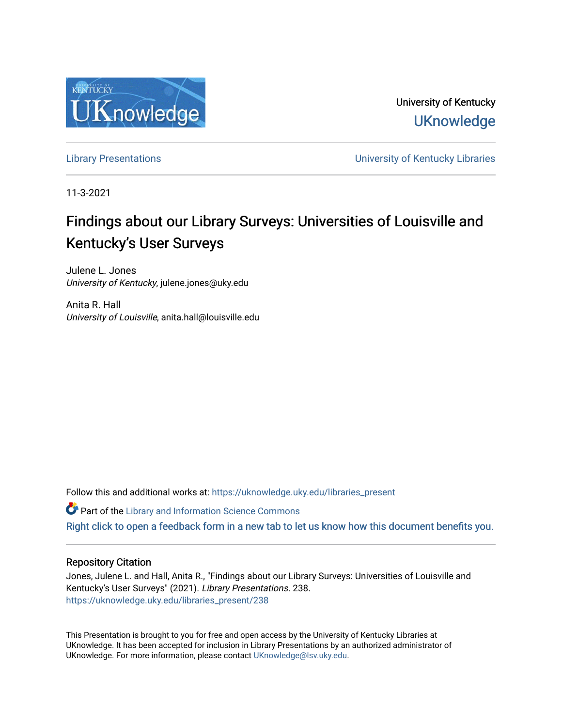

University of Kentucky **UKnowledge** 

[Library Presentations](https://uknowledge.uky.edu/libraries_present) [University of Kentucky Libraries](https://uknowledge.uky.edu/libraries) 

11-3-2021

# Findings about our Library Surveys: Universities of Louisville and Kentucky's User Surveys

Julene L. Jones University of Kentucky, julene.jones@uky.edu

Anita R. Hall University of Louisville, anita.hall@louisville.edu

Follow this and additional works at: [https://uknowledge.uky.edu/libraries\\_present](https://uknowledge.uky.edu/libraries_present?utm_source=uknowledge.uky.edu%2Flibraries_present%2F238&utm_medium=PDF&utm_campaign=PDFCoverPages) 

**Part of the Library and Information Science Commons** 

[Right click to open a feedback form in a new tab to let us know how this document benefits you.](https://uky.az1.qualtrics.com/jfe/form/SV_9mq8fx2GnONRfz7)

### Repository Citation

Jones, Julene L. and Hall, Anita R., "Findings about our Library Surveys: Universities of Louisville and Kentucky's User Surveys" (2021). Library Presentations. 238. [https://uknowledge.uky.edu/libraries\\_present/238](https://uknowledge.uky.edu/libraries_present/238?utm_source=uknowledge.uky.edu%2Flibraries_present%2F238&utm_medium=PDF&utm_campaign=PDFCoverPages) 

This Presentation is brought to you for free and open access by the University of Kentucky Libraries at UKnowledge. It has been accepted for inclusion in Library Presentations by an authorized administrator of UKnowledge. For more information, please contact [UKnowledge@lsv.uky.edu](mailto:UKnowledge@lsv.uky.edu).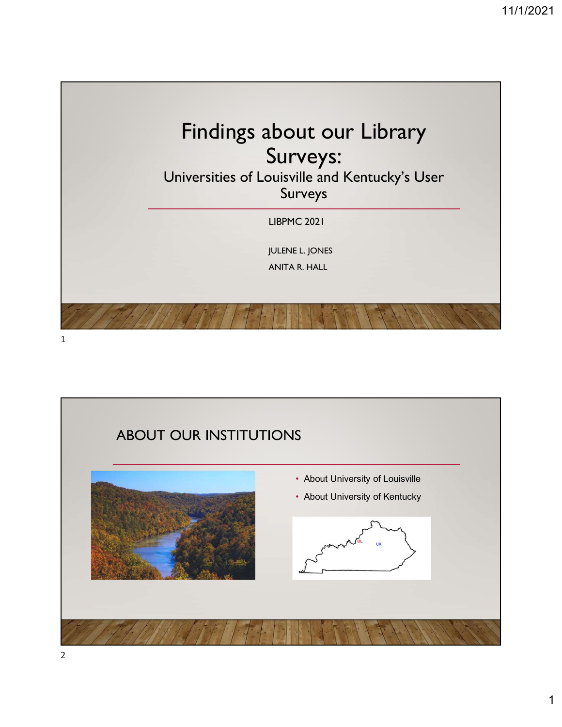

1

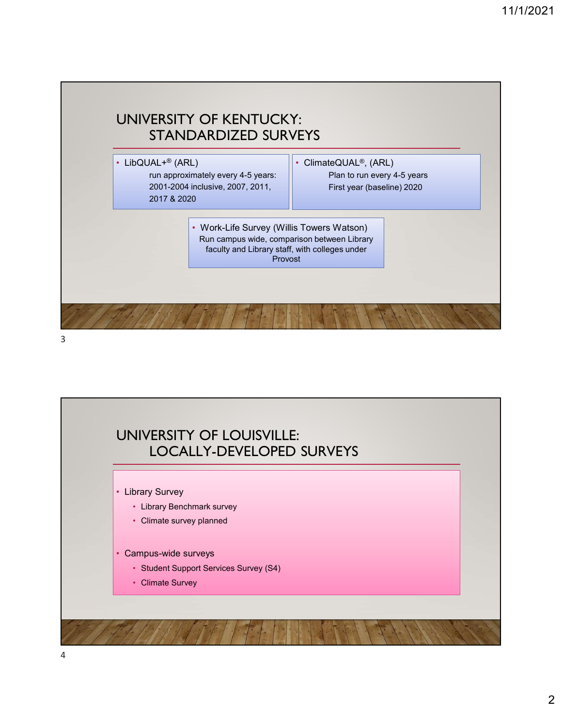

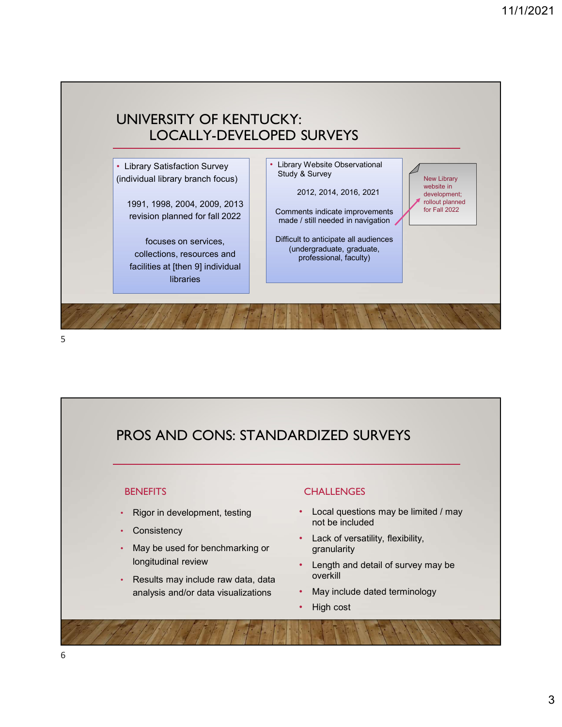

## PROS AND CONS: STANDARDIZED SURVEYS

#### **BENEFITS**

- Rigor in development, testing
- Consistency
- May be used for benchmarking or
- Results may include raw data, data analysis and/or data visualizations

### **CHALLENGES**

- Local questions may be limited / may not be included
- Lack of versatility, flexibility, granularity
- longitudinal review Length and detail of survey may be overkill
	- May include dated terminology
	- High cost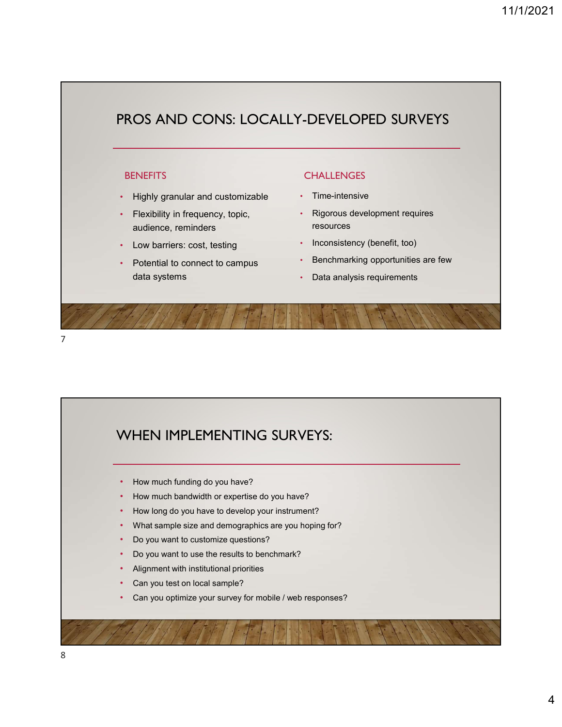